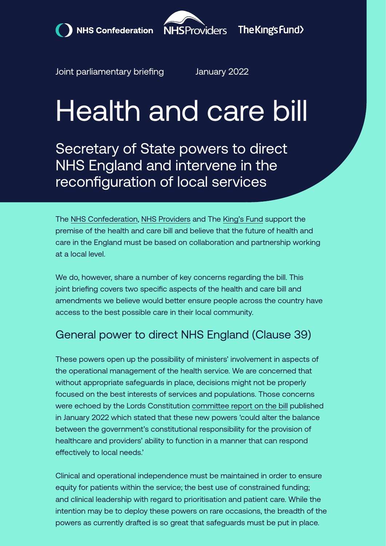



Joint parliamentary briefing January 2022

# Health and care bill

Secretary of State powers to direct NHS England and intervene in the reconfiguration of local services

The [NHS Confederation](https://www.nhsconfed.org/), [NHS Providers](https://nhsproviders.org/) and The [King's Fund](https://www.kingsfund.org.uk/) support the premise of the health and care bill and believe that the future of health and care in the England must be based on collaboration and partnership working at a local level.

We do, however, share a number of key concerns regarding the bill. This joint briefing covers two specific aspects of the health and care bill and amendments we believe would better ensure people across the country have access to the best possible care in their local community.

## General power to direct NHS England (Clause 39)

These powers open up the possibility of ministers' involvement in aspects of the operational management of the health service. We are concerned that without appropriate safeguards in place, decisions might not be properly focused on the best interests of services and populations. Those concerns were echoed by the Lords Constitution [committee report on the bill](https://publications.parliament.uk/pa/ld5802/ldselect/ldconst/136/13602.htm) published in January 2022 which stated that these new powers 'could alter the balance between the government's constitutional responsibility for the provision of healthcare and providers' ability to function in a manner that can respond effectively to local needs.'

Clinical and operational independence must be maintained in order to ensure equity for patients within the service; the best use of constrained funding; and clinical leadership with regard to prioritisation and patient care. While the intention may be to deploy these powers on rare occasions, the breadth of the powers as currently drafted is so great that safeguards must be put in place.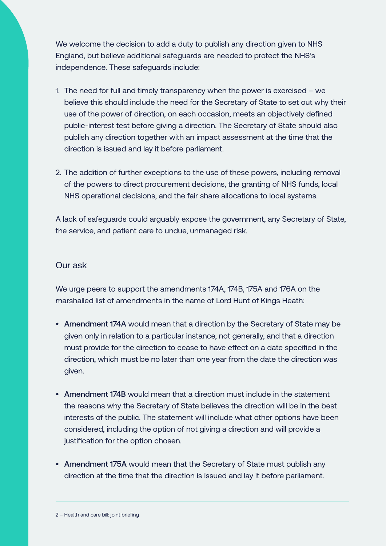We welcome the decision to add a duty to publish any direction given to NHS England, but believe additional safeguards are needed to protect the NHS's independence. These safeguards include:

- 1. The need for full and timely transparency when the power is exercised we believe this should include the need for the Secretary of State to set out why their use of the power of direction, on each occasion, meets an objectively defined public-interest test before giving a direction. The Secretary of State should also publish any direction together with an impact assessment at the time that the direction is issued and lay it before parliament.
- 2. The addition of further exceptions to the use of these powers, including removal of the powers to direct procurement decisions, the granting of NHS funds, local NHS operational decisions, and the fair share allocations to local systems.

A lack of safeguards could arguably expose the government, any Secretary of State, the service, and patient care to undue, unmanaged risk.

#### Our ask

We urge peers to support the amendments 174A, 174B, 175A and 176A on the marshalled list of amendments in the name of Lord Hunt of Kings Heath:

- Amendment 174A would mean that a direction by the Secretary of State may be given only in relation to a particular instance, not generally, and that a direction must provide for the direction to cease to have effect on a date specified in the direction, which must be no later than one year from the date the direction was given.
- Amendment 174B would mean that a direction must include in the statement the reasons why the Secretary of State believes the direction will be in the best interests of the public. The statement will include what other options have been considered, including the option of not giving a direction and will provide a justification for the option chosen.
- Amendment 175A would mean that the Secretary of State must publish any direction at the time that the direction is issued and lay it before parliament.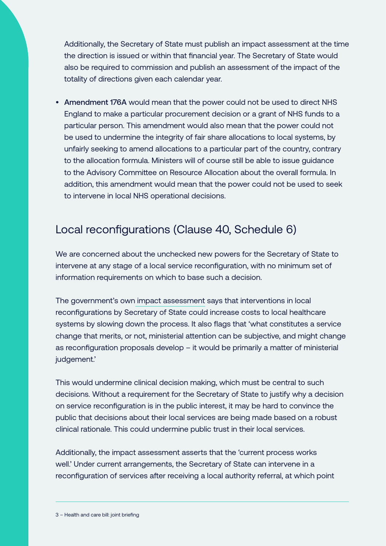Additionally, the Secretary of State must publish an impact assessment at the time the direction is issued or within that financial year. The Secretary of State would also be required to commission and publish an assessment of the impact of the totality of directions given each calendar year.

• Amendment 176A would mean that the power could not be used to direct NHS England to make a particular procurement decision or a grant of NHS funds to a particular person. This amendment would also mean that the power could not be used to undermine the integrity of fair share allocations to local systems, by unfairly seeking to amend allocations to a particular part of the country, contrary to the allocation formula. Ministers will of course still be able to issue guidance to the Advisory Committee on Resource Allocation about the overall formula. In addition, this amendment would mean that the power could not be used to seek to intervene in local NHS operational decisions.

### Local reconfigurations (Clause 40, Schedule 6)

We are concerned about the unchecked new powers for the Secretary of State to intervene at any stage of a local service reconfiguration, with no minimum set of information requirements on which to base such a decision.

The government's own [impact assessment](https://assets.publishing.service.gov.uk/government/uploads/system/uploads/attachment_data/file/1017165/health-and-care-bill-core-measures-impact-assessment.pdf) says that interventions in local reconfigurations by Secretary of State could increase costs to local healthcare systems by slowing down the process. It also flags that 'what constitutes a service change that merits, or not, ministerial attention can be subjective, and might change as reconfiguration proposals develop – it would be primarily a matter of ministerial judgement.'

This would undermine clinical decision making, which must be central to such decisions. Without a requirement for the Secretary of State to justify why a decision on service reconfiguration is in the public interest, it may be hard to convince the public that decisions about their local services are being made based on a robust clinical rationale. This could undermine public trust in their local services.

Additionally, the impact assessment asserts that the 'current process works well.' Under current arrangements, the Secretary of State can intervene in a reconfiguration of services after receiving a local authority referral, at which point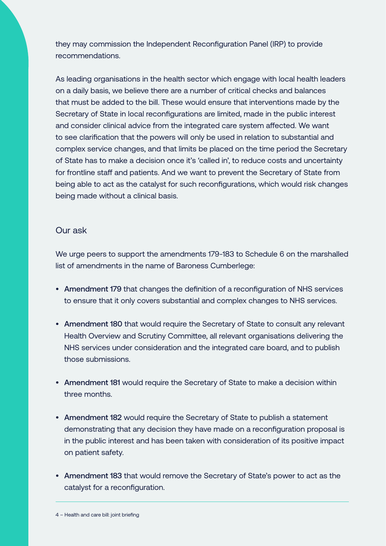they may commission the Independent Reconfiguration Panel (IRP) to provide recommendations.

As leading organisations in the health sector which engage with local health leaders on a daily basis, we believe there are a number of critical checks and balances that must be added to the bill. These would ensure that interventions made by the Secretary of State in local reconfigurations are limited, made in the public interest and consider clinical advice from the integrated care system affected. We want to see clarification that the powers will only be used in relation to substantial and complex service changes, and that limits be placed on the time period the Secretary of State has to make a decision once it's 'called in', to reduce costs and uncertainty for frontline staff and patients. And we want to prevent the Secretary of State from being able to act as the catalyst for such reconfigurations, which would risk changes being made without a clinical basis.

#### Our ask

We urge peers to support the amendments 179-183 to Schedule 6 on the marshalled list of amendments in the name of Baroness Cumberlege:

- Amendment 179 that changes the definition of a reconfiguration of NHS services to ensure that it only covers substantial and complex changes to NHS services.
- Amendment 180 that would require the Secretary of State to consult any relevant Health Overview and Scrutiny Committee, all relevant organisations delivering the NHS services under consideration and the integrated care board, and to publish those submissions.
- Amendment 181 would require the Secretary of State to make a decision within three months.
- Amendment 182 would require the Secretary of State to publish a statement demonstrating that any decision they have made on a reconfiguration proposal is in the public interest and has been taken with consideration of its positive impact on patient safety.
- Amendment 183 that would remove the Secretary of State's power to act as the catalyst for a reconfiguration.